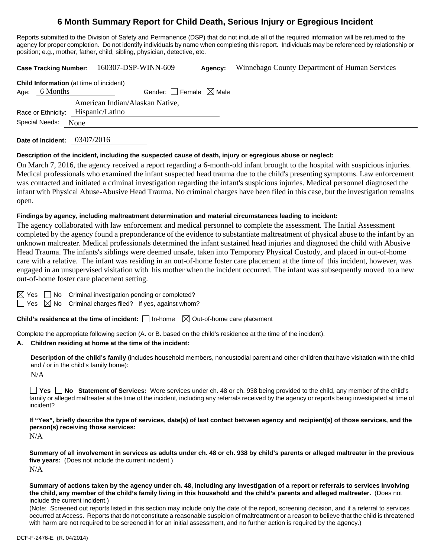# **6 Month Summary Report for Child Death, Serious Injury or Egregious Incident**

Reports submitted to the Division of Safety and Permanence (DSP) that do not include all of the required information will be returned to the agency for proper completion. Do not identify individuals by name when completing this report. Individuals may be referenced by relationship or position; e.g., mother, father, child, sibling, physician, detective, etc.

**Case Tracking Number:** 160307-DSP-WINN-609 **Agency:** Winnebago County Department of Human Services **Child Information** (at time of incident) Age: 6 Months Gender:  $\Box$  Female  $\boxtimes$  Male Race or Ethnicity: Hispanic/Latino American Indian/Alaskan Native, Special Needs: None

**Date of Incident:** 03/07/2016

#### **Description of the incident, including the suspected cause of death, injury or egregious abuse or neglect:**

On March 7, 2016, the agency received a report regarding a 6-month-old infant brought to the hospital with suspicious injuries. Medical professionals who examined the infant suspected head trauma due to the child's presenting symptoms. Law enforcement was contacted and initiated a criminal investigation regarding the infant's suspicious injuries. Medical personnel diagnosed the infant with Physical Abuse-Abusive Head Trauma. No criminal charges have been filed in this case, but the investigation remains open.

#### **Findings by agency, including maltreatment determination and material circumstances leading to incident:**

The agency collaborated with law enforcement and medical personnel to complete the assessment. The Initial Assessment completed by the agency found a preponderance of the evidence to substantiate maltreatment of physical abuse to the infant by an unknown maltreater. Medical professionals determined the infant sustained head injuries and diagnosed the child with Abusive Head Trauma. The infants's siblings were deemed unsafe, taken into Temporary Physical Custody, and placed in out-of-home care with a relative. The infant was residing in an out-of-home foster care placement at the time of this incident, however, was engaged in an unsupervised visitation with his mother when the incident occurred. The infant was subsequently moved to a new out-of-home foster care placement setting.

 $\boxtimes$  Yes  $\Box$  No Criminal investigation pending or completed?

 $\Box$  Yes  $\boxtimes$  No Criminal charges filed? If yes, against whom?

**Child's residence at the time of incident:**  $\Box$  In-home  $\Box$  Out-of-home care placement

Complete the appropriate following section (A. or B. based on the child's residence at the time of the incident).

#### **A. Children residing at home at the time of the incident:**

**Description of the child's family** (includes household members, noncustodial parent and other children that have visitation with the child and / or in the child's family home):

N/A

**Yes No Statement of Services:** Were services under ch. 48 or ch. 938 being provided to the child, any member of the child's family or alleged maltreater at the time of the incident, including any referrals received by the agency or reports being investigated at time of incident?

**If "Yes", briefly describe the type of services, date(s) of last contact between agency and recipient(s) of those services, and the person(s) receiving those services:**

N/A

**Summary of all involvement in services as adults under ch. 48 or ch. 938 by child's parents or alleged maltreater in the previous five years:** (Does not include the current incident.) N/A

**Summary of actions taken by the agency under ch. 48, including any investigation of a report or referrals to services involving the child, any member of the child's family living in this household and the child's parents and alleged maltreater.** (Does not include the current incident.)

(Note: Screened out reports listed in this section may include only the date of the report, screening decision, and if a referral to services occurred at Access. Reports that do not constitute a reasonable suspicion of maltreatment or a reason to believe that the child is threatened with harm are not required to be screened in for an initial assessment, and no further action is required by the agency.)